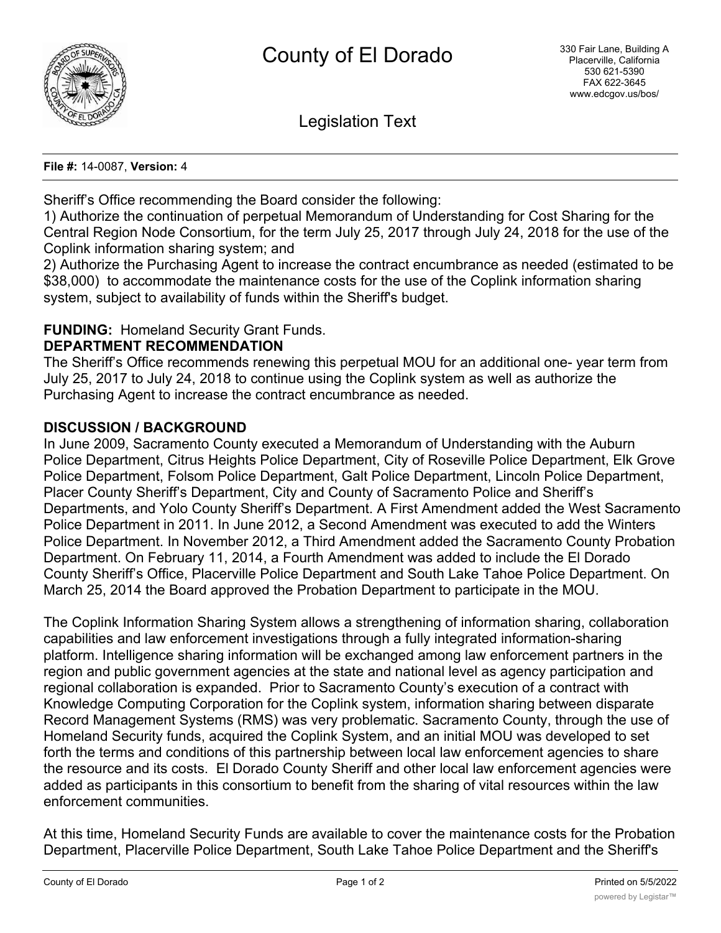

Legislation Text

**File #:** 14-0087, **Version:** 4

Sheriff's Office recommending the Board consider the following:

1) Authorize the continuation of perpetual Memorandum of Understanding for Cost Sharing for the Central Region Node Consortium, for the term July 25, 2017 through July 24, 2018 for the use of the Coplink information sharing system; and

2) Authorize the Purchasing Agent to increase the contract encumbrance as needed (estimated to be \$38,000) to accommodate the maintenance costs for the use of the Coplink information sharing system, subject to availability of funds within the Sheriff's budget.

# **FUNDING:** Homeland Security Grant Funds.

## **DEPARTMENT RECOMMENDATION**

The Sheriff's Office recommends renewing this perpetual MOU for an additional one- year term from July 25, 2017 to July 24, 2018 to continue using the Coplink system as well as authorize the Purchasing Agent to increase the contract encumbrance as needed.

## **DISCUSSION / BACKGROUND**

In June 2009, Sacramento County executed a Memorandum of Understanding with the Auburn Police Department, Citrus Heights Police Department, City of Roseville Police Department, Elk Grove Police Department, Folsom Police Department, Galt Police Department, Lincoln Police Department, Placer County Sheriff's Department, City and County of Sacramento Police and Sheriff's Departments, and Yolo County Sheriff's Department. A First Amendment added the West Sacramento Police Department in 2011. In June 2012, a Second Amendment was executed to add the Winters Police Department. In November 2012, a Third Amendment added the Sacramento County Probation Department. On February 11, 2014, a Fourth Amendment was added to include the El Dorado County Sheriff's Office, Placerville Police Department and South Lake Tahoe Police Department. On March 25, 2014 the Board approved the Probation Department to participate in the MOU.

The Coplink Information Sharing System allows a strengthening of information sharing, collaboration capabilities and law enforcement investigations through a fully integrated information-sharing platform. Intelligence sharing information will be exchanged among law enforcement partners in the region and public government agencies at the state and national level as agency participation and regional collaboration is expanded. Prior to Sacramento County's execution of a contract with Knowledge Computing Corporation for the Coplink system, information sharing between disparate Record Management Systems (RMS) was very problematic. Sacramento County, through the use of Homeland Security funds, acquired the Coplink System, and an initial MOU was developed to set forth the terms and conditions of this partnership between local law enforcement agencies to share the resource and its costs. El Dorado County Sheriff and other local law enforcement agencies were added as participants in this consortium to benefit from the sharing of vital resources within the law enforcement communities.

At this time, Homeland Security Funds are available to cover the maintenance costs for the Probation Department, Placerville Police Department, South Lake Tahoe Police Department and the Sheriff's